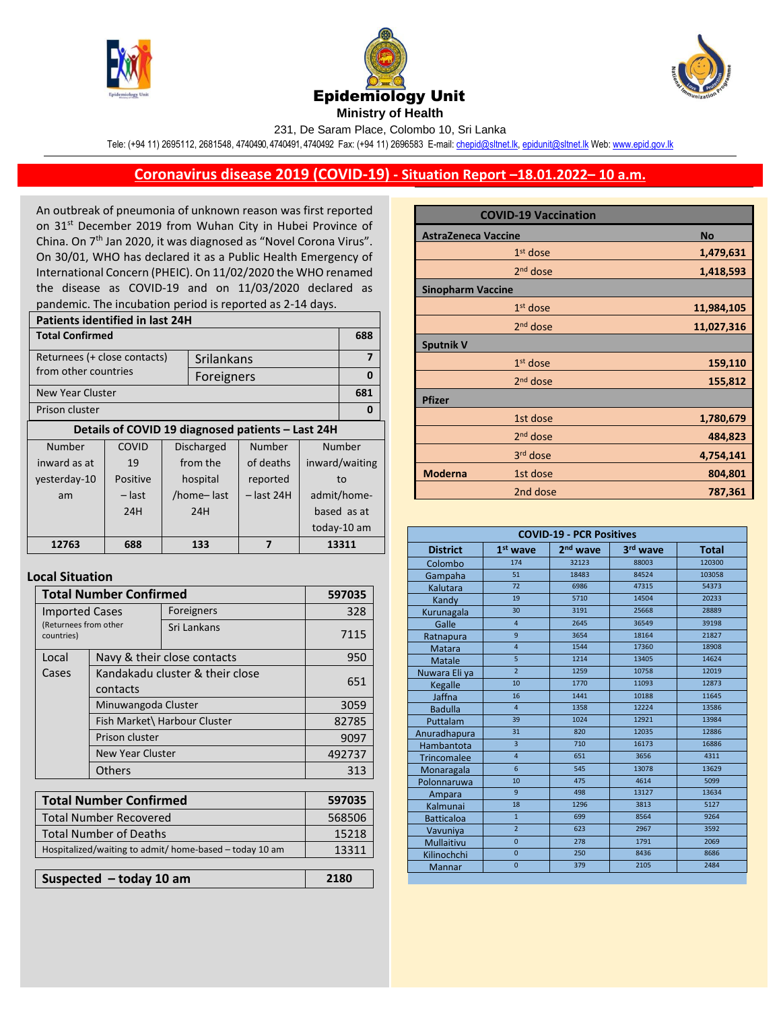





231, De Saram Place, Colombo 10, Sri Lanka

Tele: (+94 11) 2695112, 2681548, 4740490, 4740491, 4740492 Fax: (+94 11) 2696583 E-mail[: chepid@sltnet.lk,](mailto:chepi@sltnet.lk) [epidunit@sltnet.lk](mailto:epidunit@sltnet.lk) Web[: www.epid.gov.lk](http://www.epid.gov.lk/)

## **Coronavirus disease 2019 (COVID-19) - Situation Report –18.01.2022– 10 a.m.**

An outbreak of pneumonia of unknown reason was first reported on 31<sup>st</sup> December 2019 from Wuhan City in Hubei Province of China. On 7<sup>th</sup> Jan 2020, it was diagnosed as "Novel Corona Virus". On 30/01, WHO has declared it as a Public Health Emergency of International Concern (PHEIC). On 11/02/2020 the WHO renamed the disease as COVID-19 and on 11/03/2020 declared as pandemic. The incubation period is reported as 2-14 days.

| <b>Patients identified in last 24H</b> |          |            |                   |                                                   |                |             |
|----------------------------------------|----------|------------|-------------------|---------------------------------------------------|----------------|-------------|
| <b>Total Confirmed</b>                 |          |            |                   | 688                                               |                |             |
| Returnees (+ close contacts)           |          | Srilankans |                   |                                                   | $\overline{7}$ |             |
| from other countries                   |          |            | Foreigners        |                                                   |                | 0           |
| New Year Cluster                       |          |            |                   |                                                   |                | 681         |
| Prison cluster                         |          |            |                   | O                                                 |                |             |
|                                        |          |            |                   | Details of COVID 19 diagnosed patients - Last 24H |                |             |
| Number                                 | COVID    |            | <b>Discharged</b> | Number                                            | Number         |             |
| inward as at                           | 19       |            | from the          | of deaths                                         | inward/waiting |             |
| yesterday-10                           | Positive |            | hospital          | reported                                          | to             |             |
| am                                     | – last   |            | /home-last        | $-$ last 24H                                      | admit/home-    |             |
|                                        | 24H      |            | 24H               |                                                   | based as at    |             |
|                                        |          |            |                   |                                                   |                | today-10 am |
| 12763                                  | 688      |            | 133               | 7                                                 | 13311          |             |
|                                        |          |            |                   |                                                   |                |             |

## **Local Situation**

| <b>Total Number Confirmed</b>                                | 597035                                      |                              |        |
|--------------------------------------------------------------|---------------------------------------------|------------------------------|--------|
| <b>Imported Cases</b><br>(Returnees from other<br>countries) |                                             | Foreigners                   | 328    |
|                                                              |                                             | Sri Lankans                  | 7115   |
| Local                                                        | Navy & their close contacts                 |                              | 950    |
| Cases                                                        | Kandakadu cluster & their close<br>contacts | 651                          |        |
|                                                              | Minuwangoda Cluster                         |                              |        |
|                                                              |                                             | Fish Market\ Harbour Cluster | 82785  |
|                                                              | Prison cluster<br>New Year Cluster          |                              | 9097   |
|                                                              |                                             |                              | 492737 |
|                                                              | <b>Others</b>                               |                              | 313    |
|                                                              |                                             |                              |        |
| <b>Total Number Confirmed</b>                                |                                             |                              | 597035 |
| <b>Total Number Recovered</b>                                |                                             |                              | 568506 |
| <b>Total Number of Deaths</b>                                |                                             |                              | 15218  |
| Hospitalized/waiting to admit/ home-based - today 10 am      |                                             |                              | 13311  |
|                                                              |                                             |                              |        |
| Suspected $-$ today 10 am                                    |                                             |                              | 2180   |

| <b>COVID-19 Vaccination</b> |                      |            |  |
|-----------------------------|----------------------|------------|--|
| <b>AstraZeneca Vaccine</b>  |                      | <b>No</b>  |  |
|                             | $1st$ dose           | 1,479,631  |  |
|                             | 2 <sup>nd</sup> dose | 1,418,593  |  |
| <b>Sinopharm Vaccine</b>    |                      |            |  |
|                             | $1st$ dose           | 11,984,105 |  |
|                             | 2 <sup>nd</sup> dose | 11,027,316 |  |
| <b>Sputnik V</b>            |                      |            |  |
|                             | 1 <sup>st</sup> dose | 159,110    |  |
|                             | $2nd$ dose           | 155,812    |  |
| <b>Pfizer</b>               |                      |            |  |
|                             | 1st dose             | 1,780,679  |  |
|                             | $2nd$ dose           | 484,823    |  |
|                             | 3rd dose             | 4,754,141  |  |
| <b>Moderna</b>              | 1st dose             | 804,801    |  |
|                             | 2nd dose             | 787,361    |  |

| <b>COVID-19 - PCR Positives</b> |                         |                      |          |              |
|---------------------------------|-------------------------|----------------------|----------|--------------|
| <b>District</b>                 | $1st$ wave              | 2 <sup>nd</sup> wave | 3rd wave | <b>Total</b> |
| Colombo                         | 174                     | 32123                | 88003    | 120300       |
| Gampaha                         | 51                      | 18483                | 84524    | 103058       |
| Kalutara                        | 72                      | 6986                 | 47315    | 54373        |
| Kandy                           | 19                      | 5710                 | 14504    | 20233        |
| Kurunagala                      | 30                      | 3191                 | 25668    | 28889        |
| Galle                           | 4                       | 2645                 | 36549    | 39198        |
| Ratnapura                       | $\mathbf{q}$            | 3654                 | 18164    | 21827        |
| <b>Matara</b>                   | $\overline{4}$          | 1544                 | 17360    | 18908        |
| Matale                          | 5                       | 1214                 | 13405    | 14624        |
| Nuwara Eli ya                   | $\overline{2}$          | 1259                 | 10758    | 12019        |
| Kegalle                         | 10                      | 1770                 | 11093    | 12873        |
| Jaffna                          | 16                      | 1441                 | 10188    | 11645        |
| <b>Badulla</b>                  | $\overline{4}$          | 1358                 | 12224    | 13586        |
| Puttalam                        | 39                      | 1024                 | 12921    | 13984        |
| Anuradhapura                    | 31                      | 820                  | 12035    | 12886        |
| Hambantota                      | $\overline{\mathbf{3}}$ | 710                  | 16173    | 16886        |
| <b>Trincomalee</b>              | $\overline{4}$          | 651                  | 3656     | 4311         |
| Monaragala                      | $6\overline{6}$         | 545                  | 13078    | 13629        |
| Polonnaruwa                     | 10                      | 475                  | 4614     | 5099         |
| Ampara                          | $\mathbf{q}$            | 498                  | 13127    | 13634        |
| Kalmunai                        | 18                      | 1296                 | 3813     | 5127         |
| <b>Batticaloa</b>               | $\overline{1}$          | 699                  | 8564     | 9264         |
| Vavuniya                        | $\overline{2}$          | 623                  | 2967     | 3592         |
| <b>Mullaitivu</b>               | $\overline{0}$          | 278                  | 1791     | 2069         |
| Kilinochchi                     | $\overline{0}$          | 250                  | 8436     | 8686         |
| Mannar                          | $\overline{0}$          | 379                  | 2105     | 2484         |